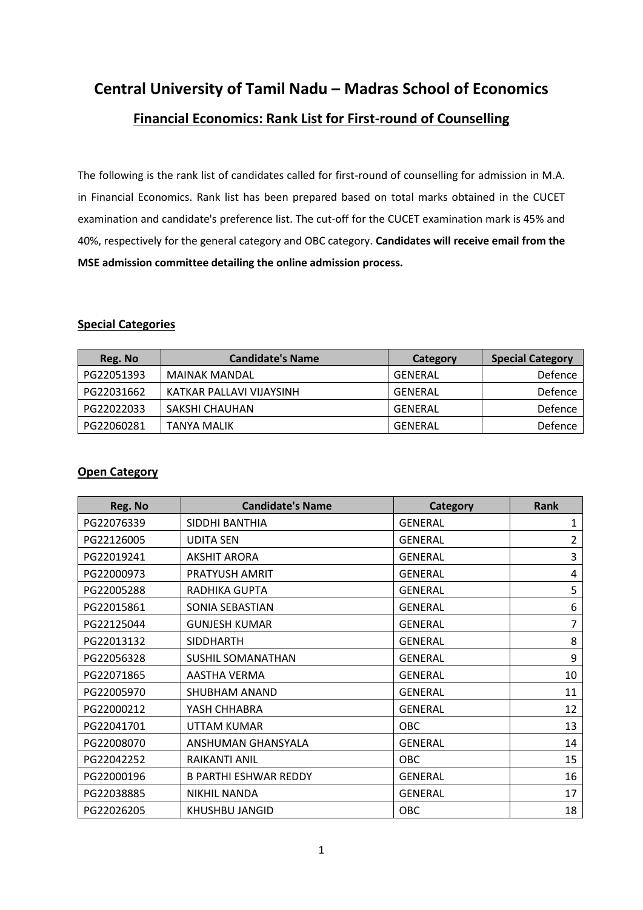**Central University of Tamil Nadu – Madras School of Economics**

## **Financial Economics: Rank List for First-round of Counselling**

The following is the rank list of candidates called for first-round of counselling for admission in M.A. in Financial Economics. Rank list has been prepared based on total marks obtained in the CUCET examination and candidate's preference list. The cut-off for the CUCET examination mark is 45% and 40%, respectively for the general category and OBC category. **Candidates will receive email from the MSE admission committee detailing the online admission process.**

### **Special Categories**

| Reg. No    | <b>Candidate's Name</b>  | Category | <b>Special Category</b> |
|------------|--------------------------|----------|-------------------------|
| PG22051393 | <b>MAINAK MANDAL</b>     | GENERAL  | Defence                 |
| PG22031662 | KATKAR PALLAVI VIJAYSINH | GENERAL  | Defence                 |
| PG22022033 | SAKSHI CHAUHAN           | GENERAL  | Defence                 |
| PG22060281 | <b>TANYA MALIK</b>       | GENERAL  | Defence                 |

### **Open Category**

| Reg. No    | <b>Candidate's Name</b>      | <b>Category</b> | <b>Rank</b> |
|------------|------------------------------|-----------------|-------------|
| PG22076339 | SIDDHI BANTHIA               | <b>GENERAL</b>  | 1           |
| PG22126005 | <b>UDITA SEN</b>             | <b>GENERAL</b>  | 2           |
| PG22019241 | <b>AKSHIT ARORA</b>          | <b>GENERAL</b>  | 3           |
| PG22000973 | PRATYUSH AMRIT               | <b>GENERAL</b>  | 4           |
| PG22005288 | RADHIKA GUPTA                | <b>GENERAL</b>  | 5           |
| PG22015861 | SONIA SEBASTIAN              | <b>GENERAL</b>  | 6           |
| PG22125044 | <b>GUNJESH KUMAR</b>         | <b>GENERAL</b>  | 7           |
| PG22013132 | <b>SIDDHARTH</b>             | <b>GENERAL</b>  | 8           |
| PG22056328 | <b>SUSHIL SOMANATHAN</b>     | <b>GENERAL</b>  | 9           |
| PG22071865 | AASTHA VERMA                 | <b>GENERAL</b>  | 10          |
| PG22005970 | <b>SHUBHAM ANAND</b>         | <b>GENERAL</b>  | 11          |
| PG22000212 | YASH CHHABRA                 | <b>GENERAL</b>  | 12          |
| PG22041701 | UTTAM KUMAR                  | <b>OBC</b>      | 13          |
| PG22008070 | ANSHUMAN GHANSYALA           | <b>GENERAL</b>  | 14          |
| PG22042252 | RAIKANTI ANIL                | <b>OBC</b>      | 15          |
| PG22000196 | <b>B PARTHI ESHWAR REDDY</b> | <b>GENERAL</b>  | 16          |
| PG22038885 | <b>NIKHIL NANDA</b>          | <b>GENERAL</b>  | 17          |
| PG22026205 | KHUSHBU JANGID               | <b>OBC</b>      | 18          |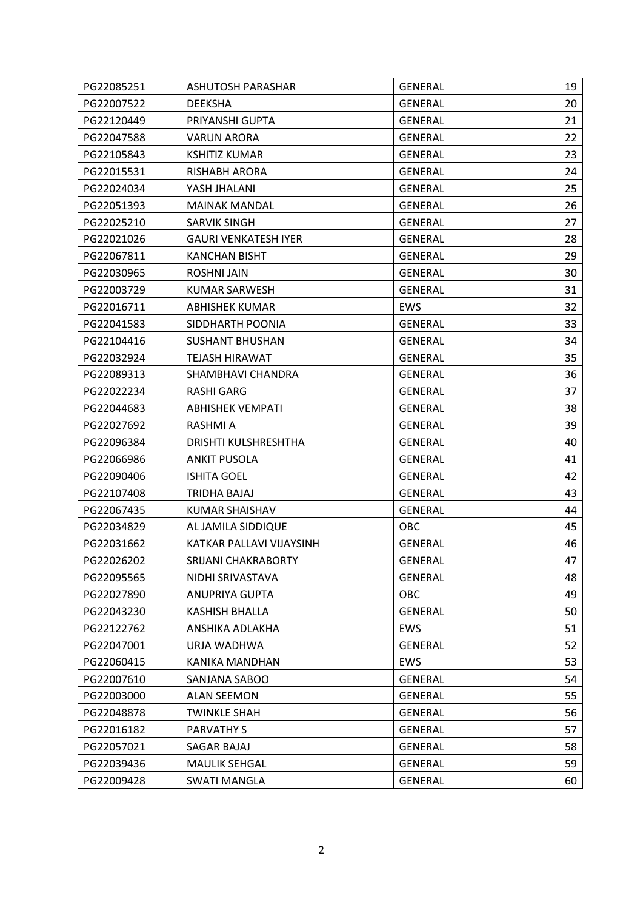| PG22085251 | ASHUTOSH PARASHAR           | <b>GENERAL</b> | 19 |
|------------|-----------------------------|----------------|----|
| PG22007522 | <b>DEEKSHA</b>              | <b>GENERAL</b> | 20 |
| PG22120449 | PRIYANSHI GUPTA             | <b>GENERAL</b> | 21 |
| PG22047588 | <b>VARUN ARORA</b>          | GENERAL        | 22 |
| PG22105843 | <b>KSHITIZ KUMAR</b>        | <b>GENERAL</b> | 23 |
| PG22015531 | <b>RISHABH ARORA</b>        | <b>GENERAL</b> | 24 |
| PG22024034 | YASH JHALANI                | <b>GENERAL</b> | 25 |
| PG22051393 | <b>MAINAK MANDAL</b>        | <b>GENERAL</b> | 26 |
| PG22025210 | <b>SARVIK SINGH</b>         | <b>GENERAL</b> | 27 |
| PG22021026 | <b>GAURI VENKATESH IYER</b> | <b>GENERAL</b> | 28 |
| PG22067811 | <b>KANCHAN BISHT</b>        | <b>GENERAL</b> | 29 |
| PG22030965 | <b>ROSHNI JAIN</b>          | <b>GENERAL</b> | 30 |
| PG22003729 | <b>KUMAR SARWESH</b>        | <b>GENERAL</b> | 31 |
| PG22016711 | <b>ABHISHEK KUMAR</b>       | <b>EWS</b>     | 32 |
| PG22041583 | SIDDHARTH POONIA            | <b>GENERAL</b> | 33 |
| PG22104416 | <b>SUSHANT BHUSHAN</b>      | <b>GENERAL</b> | 34 |
| PG22032924 | TEJASH HIRAWAT              | GENERAL        | 35 |
| PG22089313 | SHAMBHAVI CHANDRA           | <b>GENERAL</b> | 36 |
| PG22022234 | <b>RASHI GARG</b>           | GENERAL        | 37 |
| PG22044683 | <b>ABHISHEK VEMPATI</b>     | <b>GENERAL</b> | 38 |
| PG22027692 | <b>RASHMIA</b>              | <b>GENERAL</b> | 39 |
| PG22096384 | DRISHTI KULSHRESHTHA        | <b>GENERAL</b> | 40 |
| PG22066986 | <b>ANKIT PUSOLA</b>         | <b>GENERAL</b> | 41 |
| PG22090406 | <b>ISHITA GOEL</b>          | <b>GENERAL</b> | 42 |
| PG22107408 | TRIDHA BAJAJ                | <b>GENERAL</b> | 43 |
| PG22067435 | KUMAR SHAISHAV              | <b>GENERAL</b> | 44 |
| PG22034829 | AL JAMILA SIDDIQUE          | OBC            | 45 |
| PG22031662 | KATKAR PALLAVI VIJAYSINH    | <b>GENERAL</b> | 46 |
| PG22026202 | SRIJANI CHAKRABORTY         | <b>GENERAL</b> | 47 |
| PG22095565 | NIDHI SRIVASTAVA            | <b>GENERAL</b> | 48 |
| PG22027890 | <b>ANUPRIYA GUPTA</b>       | OBC            | 49 |
| PG22043230 | KASHISH BHALLA              | <b>GENERAL</b> | 50 |
| PG22122762 | ANSHIKA ADLAKHA             | EWS            | 51 |
| PG22047001 | URJA WADHWA                 | <b>GENERAL</b> | 52 |
| PG22060415 | KANIKA MANDHAN              | <b>EWS</b>     | 53 |
| PG22007610 | SANJANA SABOO               | <b>GENERAL</b> | 54 |
| PG22003000 | <b>ALAN SEEMON</b>          | <b>GENERAL</b> | 55 |
| PG22048878 | <b>TWINKLE SHAH</b>         | <b>GENERAL</b> | 56 |
| PG22016182 | <b>PARVATHY S</b>           | <b>GENERAL</b> | 57 |
| PG22057021 | SAGAR BAJAJ                 | GENERAL        | 58 |
| PG22039436 | <b>MAULIK SEHGAL</b>        | <b>GENERAL</b> | 59 |
| PG22009428 | SWATI MANGLA                | GENERAL        | 60 |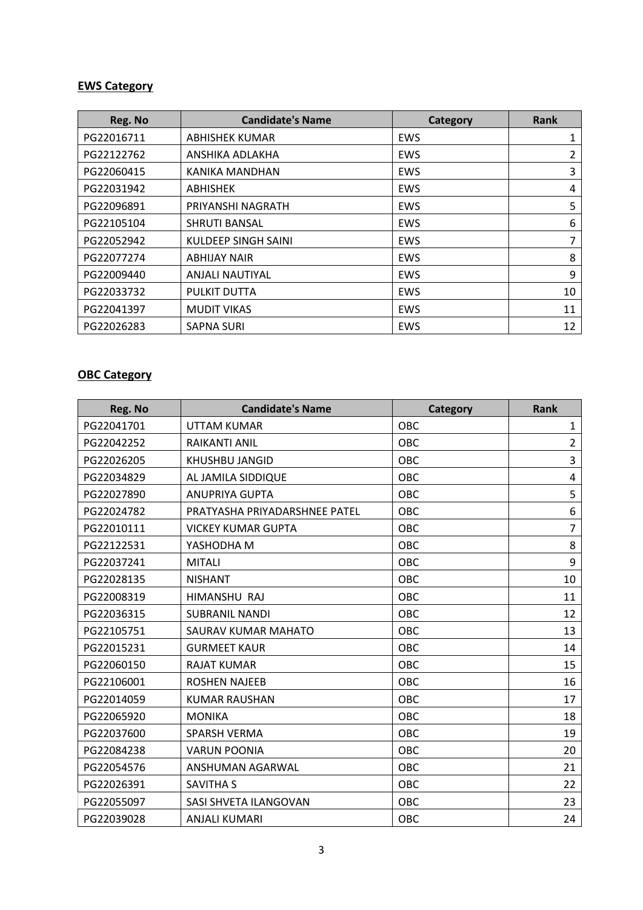# **EWS Category**

| Reg. No    | <b>Candidate's Name</b> | <b>Category</b> | <b>Rank</b> |
|------------|-------------------------|-----------------|-------------|
| PG22016711 | <b>ABHISHEK KUMAR</b>   | <b>EWS</b>      | 1           |
| PG22122762 | ANSHIKA ADLAKHA         | EWS             | 2           |
| PG22060415 | KANIKA MANDHAN          | EWS             | 3           |
| PG22031942 | <b>ABHISHEK</b>         | EWS             | 4           |
| PG22096891 | PRIYANSHI NAGRATH       | EWS             | 5           |
| PG22105104 | <b>SHRUTI BANSAL</b>    | EWS             | 6           |
| PG22052942 | KULDEEP SINGH SAINI     | <b>EWS</b>      | 7           |
| PG22077274 | <b>ABHIJAY NAIR</b>     | <b>EWS</b>      | 8           |
| PG22009440 | <b>ANJALI NAUTIYAL</b>  | EWS             | 9           |
| PG22033732 | PULKIT DUTTA            | <b>EWS</b>      | 10          |
| PG22041397 | <b>MUDIT VIKAS</b>      | <b>EWS</b>      | 11          |
| PG22026283 | <b>SAPNA SURI</b>       | <b>EWS</b>      | 12          |

## **OBC Category**

| Reg. No    | <b>Candidate's Name</b>       | Category   | <b>Rank</b>    |
|------------|-------------------------------|------------|----------------|
| PG22041701 | <b>UTTAM KUMAR</b>            | OBC        | $\mathbf{1}$   |
| PG22042252 | RAIKANTI ANIL                 | OBC        | $\overline{2}$ |
| PG22026205 | <b>KHUSHBU JANGID</b>         | OBC        | 3              |
| PG22034829 | AL JAMILA SIDDIQUE            | OBC        | 4              |
| PG22027890 | <b>ANUPRIYA GUPTA</b>         | OBC        | 5              |
| PG22024782 | PRATYASHA PRIYADARSHNEE PATEL | OBC        | 6              |
| PG22010111 | <b>VICKEY KUMAR GUPTA</b>     | OBC        | $\overline{7}$ |
| PG22122531 | YASHODHA M                    | OBC        | 8              |
| PG22037241 | <b>MITALI</b>                 | OBC        | 9              |
| PG22028135 | <b>NISHANT</b>                | OBC        | 10             |
| PG22008319 | HIMANSHU RAJ                  | OBC        | 11             |
| PG22036315 | <b>SUBRANIL NANDI</b>         | OBC        | 12             |
| PG22105751 | SAURAV KUMAR MAHATO           | OBC        | 13             |
| PG22015231 | <b>GURMEET KAUR</b>           | OBC        | 14             |
| PG22060150 | <b>RAJAT KUMAR</b>            | OBC        | 15             |
| PG22106001 | <b>ROSHEN NAJEEB</b>          | OBC        | 16             |
| PG22014059 | <b>KUMAR RAUSHAN</b>          | OBC        | 17             |
| PG22065920 | <b>MONIKA</b>                 | OBC        | 18             |
| PG22037600 | SPARSH VERMA                  | OBC        | 19             |
| PG22084238 | <b>VARUN POONIA</b>           | OBC        | 20             |
| PG22054576 | ANSHUMAN AGARWAL              | OBC        | 21             |
| PG22026391 | <b>SAVITHA S</b>              | OBC        | 22             |
| PG22055097 | SASI SHVETA ILANGOVAN         | OBC        | 23             |
| PG22039028 | <b>ANJALI KUMARI</b>          | <b>OBC</b> | 24             |